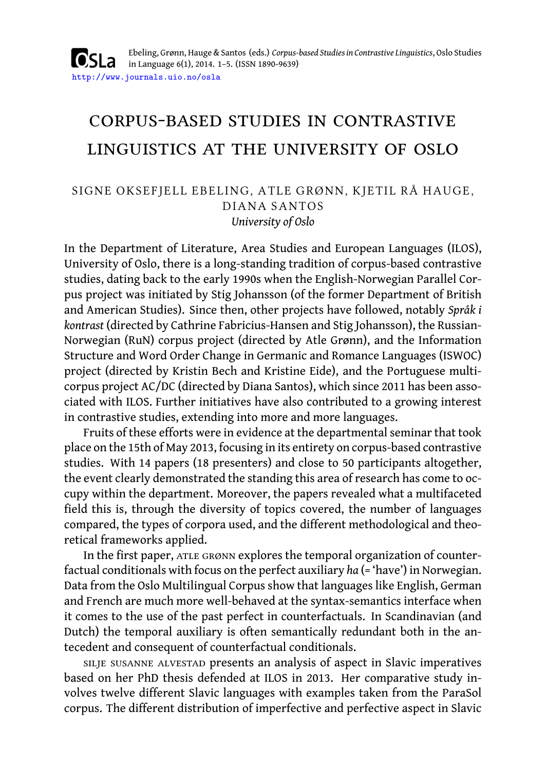Ebeling, Grønn, Hauge & Santos (eds.) *Corpus-based Studies in Contrastive Linguistics*, Oslo Studies **OSLa** in Language 6(1), 2014. 1–5. (ISSN 1890-9639) http://www.journals.uio.no/osla

# corpus-based studies in contrastive linguistics at the university of oslo

### SIGNE OKSEFJELL EBELING, ATLE GRØNN, KJETIL RÅ HAUGE, DIANA SANTOS *University of Oslo*

In the Department of Literature, Area Studies and European Languages (ILOS), University of Oslo, there is a long-standing tradition of corpus-based contrastive studies, dating back to the early 1990s when the English-Norwegian Parallel Corpus project was initiated by Stig Johansson (of the former Department of British and American Studies). Since then, other projects have followed, notably *Språk i kontrast* (directed by Cathrine Fabricius-Hansen and Stig Johansson), the Russian-Norwegian (RuN) corpus project (directed by Atle Grønn), and the Information Structure and Word Order Change in Germanic and Romance Languages (ISWOC) project (directed by Kristin Bech and Kristine Eide), and the Portuguese multicorpus project AC/DC (directed by Diana Santos), which since 2011 has been associated with ILOS. Further initiatives have also contributed to a growing interest in contrastive studies, extending into more and more languages.

Fruits of these efforts were in evidence at the departmental seminar that took place on the 15th of May 2013, focusing in its entirety on corpus-based contrastive studies. With 14 papers (18 presenters) and close to 50 participants altogether, the event clearly demonstrated the standing this area of research has come to occupy within the department. Moreover, the papers revealed what a multifaceted field this is, through the diversity of topics covered, the number of languages compared, the types of corpora used, and the different methodological and theoretical frameworks applied.

In the first paper, ATLE GRØNN explores the temporal organization of counterfactual conditionals with focus on the perfect auxiliary *ha* (= 'have') in Norwegian. Data from the Oslo Multilingual Corpus show that languages like English, German and French are much more well-behaved at the syntax-semantics interface when it comes to the use of the past perfect in counterfactuals. In Scandinavian (and Dutch) the temporal auxiliary is often semantically redundant both in the antecedent and consequent of counterfactual conditionals.

silje susanne alvestad presents an analysis of aspect in Slavic imperatives based on her PhD thesis defended at ILOS in 2013. Her comparative study involves twelve different Slavic languages with examples taken from the ParaSol corpus. The different distribution of imperfective and perfective aspect in Slavic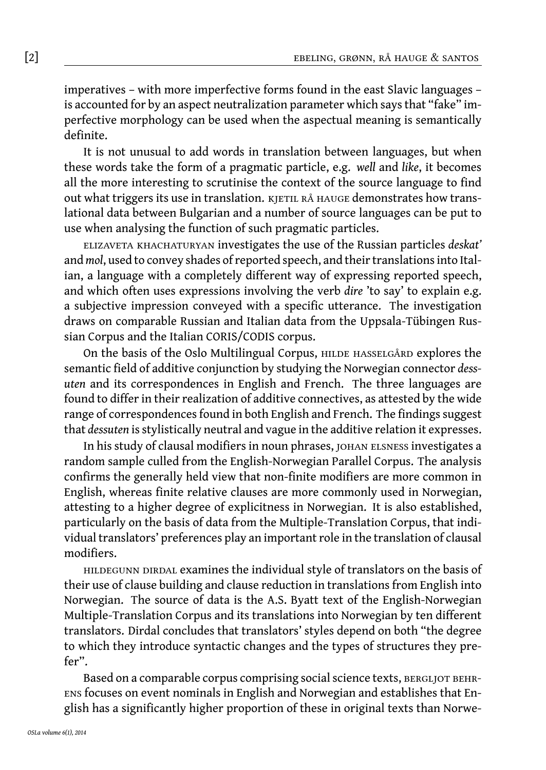imperatives – with more imperfective forms found in the east Slavic languages – is accounted for by an aspect neutralization parameter which says that "fake" imperfective morphology can be used when the aspectual meaning is semantically definite.

It is not unusual to add words in translation between languages, but when these words take the form of a pragmatic particle, e.g. *well* and *like*, it becomes all the more interesting to scrutinise the context of the source language to find out what triggers its use in translation. KJETIL RÅ HAUGE demonstrates how translational data between Bulgarian and a number of source languages can be put to use when analysing the function of such pragmatic particles.

elizaveta khachaturyan investigates the use of the Russian particles *deskat'* and *mol*, used to convey shades of reported speech, and their translations into Italian, a language with a completely different way of expressing reported speech, and which often uses expressions involving the verb *dire* 'to say' to explain e.g. a subjective impression conveyed with a specific utterance. The investigation draws on comparable Russian and Italian data from the Uppsala-Tübingen Russian Corpus and the Italian CORIS/CODIS corpus.

On the basis of the Oslo Multilingual Corpus, hilde hasselgård explores the semantic field of additive conjunction by studying the Norwegian connector *dessuten* and its correspondences in English and French. The three languages are found to differ in their realization of additive connectives, as attested by the wide range of correspondences found in both English and French. The findings suggest that *dessuten* is stylistically neutral and vague in the additive relation it expresses.

In his study of clausal modifiers in noun phrases, JOHAN ELSNESS investigates a random sample culled from the English-Norwegian Parallel Corpus. The analysis confirms the generally held view that non-finite modifiers are more common in English, whereas finite relative clauses are more commonly used in Norwegian, attesting to a higher degree of explicitness in Norwegian. It is also established, particularly on the basis of data from the Multiple-Translation Corpus, that individual translators' preferences play an important role in the translation of clausal modifiers.

HILDEGUNN DIRDAL examines the individual style of translators on the basis of their use of clause building and clause reduction in translations from English into Norwegian. The source of data is the A.S. Byatt text of the English-Norwegian Multiple-Translation Corpus and its translations into Norwegian by ten different translators. Dirdal concludes that translators' styles depend on both "the degree to which they introduce syntactic changes and the types of structures they prefer".

Based on a comparable corpus comprising social science texts, BERGLJOT BEHRens focuses on event nominals in English and Norwegian and establishes that English has a significantly higher proportion of these in original texts than Norwe-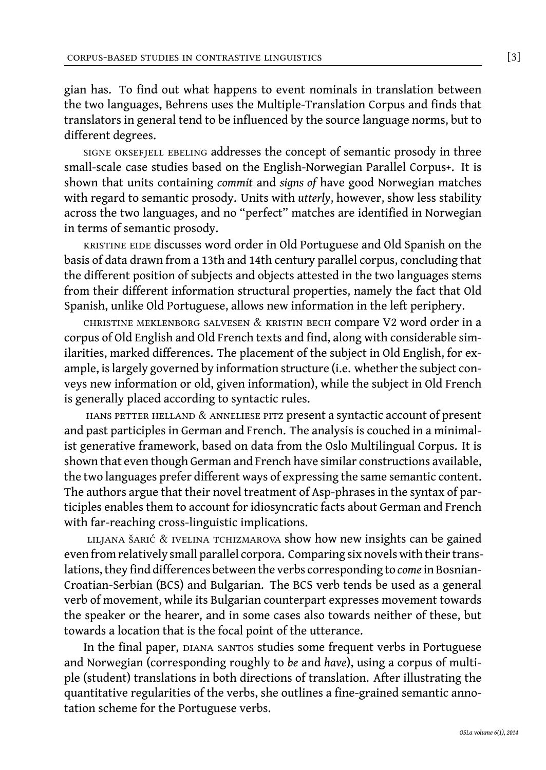gian has. To find out what happens to event nominals in translation between the two languages, Behrens uses the Multiple-Translation Corpus and finds that translators in general tend to be influenced by the source language norms, but to different degrees.

signe oksefjell ebeling addresses the concept of semantic prosody in three small-scale case studies based on the English-Norwegian Parallel Corpus+. It is shown that units containing *commit* and *signs of* have good Norwegian matches with regard to semantic prosody. Units with *utterly*, however, show less stability across the two languages, and no "perfect" matches are identified in Norwegian in terms of semantic prosody.

kristine eide discusses word order in Old Portuguese and Old Spanish on the basis of data drawn from a 13th and 14th century parallel corpus, concluding that the different position of subjects and objects attested in the two languages stems from their different information structural properties, namely the fact that Old Spanish, unlike Old Portuguese, allows new information in the left periphery.

christine meklenborg salvesen & kristin bech compare V2 word order in a corpus of Old English and Old French texts and find, along with considerable similarities, marked differences. The placement of the subject in Old English, for example, is largely governed by information structure (i.e. whether the subject conveys new information or old, given information), while the subject in Old French is generally placed according to syntactic rules.

hans petter helland & anneliese pitz present a syntactic account of present and past participles in German and French. The analysis is couched in a minimalist generative framework, based on data from the Oslo Multilingual Corpus. It is shown that even though German and French have similar constructions available, the two languages prefer different ways of expressing the same semantic content. The authors argue that their novel treatment of Asp-phrases in the syntax of participles enables them to account for idiosyncratic facts about German and French with far-reaching cross-linguistic implications.

liljana šarić & ivelina tchizmarova show how new insights can be gained even from relatively small parallel corpora. Comparing six novels with their translations, they find differences between the verbs corresponding to *come* in Bosnian-Croatian-Serbian (BCS) and Bulgarian. The BCS verb tends be used as a general verb of movement, while its Bulgarian counterpart expresses movement towards the speaker or the hearer, and in some cases also towards neither of these, but towards a location that is the focal point of the utterance.

In the final paper, DIANA SANTOS studies some frequent verbs in Portuguese and Norwegian (corresponding roughly to *be* and *have*), using a corpus of multiple (student) translations in both directions of translation. After illustrating the quantitative regularities of the verbs, she outlines a fine-grained semantic annotation scheme for the Portuguese verbs.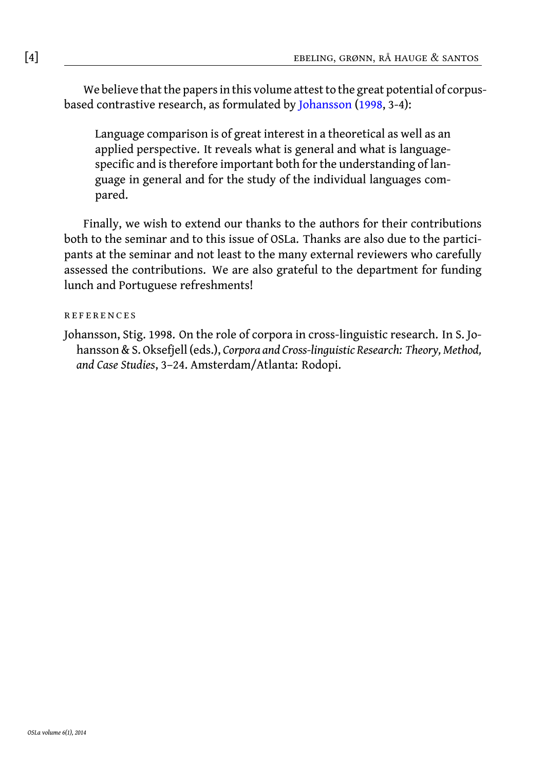## [4] ebeling, grønn, rå hauge & santos

We believe that the papers in this volume attest to the great potential of corpusbased contrastive research, as formulated by Johansson (1998, 3-4):

Language comparison is of great interest in a theoretical as well as an applied perspective. It reveals what is general and what is languagespecific and is therefore important both for the understanding of language in general and for the study of the individual languages compared.

Finally, we wish to extend our thanks to the authors for their contributions both to the seminar and to this issue of OSLa. Thanks are also due to the participants at the seminar and not least to the many external reviewers who carefully assessed the contributions. We are also grateful to the department for funding lunch and Portuguese refreshments!

#### **REFERENCES**

Johansson, Stig. 1998. On the role of corpora in cross-linguistic research. In S. Johansson & S. Oksefjell (eds.), *Corpora and Cross-linguistic Research: Theory, Method, and Case Studies*, 3–24. Amsterdam/Atlanta: Rodopi.